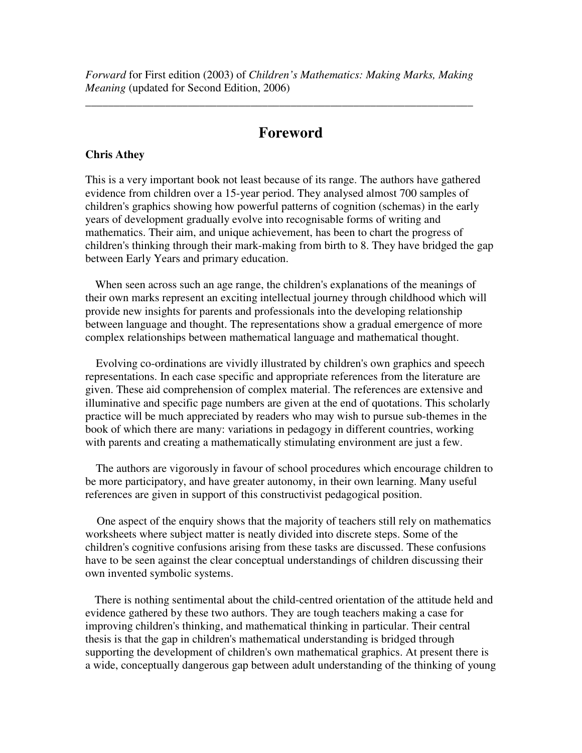*Forward* for First edition (2003) of *Children's Mathematics: Making Marks, Making Meaning* (updated for Second Edition, 2006)

\_\_\_\_\_\_\_\_\_\_\_\_\_\_\_\_\_\_\_\_\_\_\_\_\_\_\_\_\_\_\_\_\_\_\_\_\_\_\_\_\_\_\_\_\_\_\_\_\_\_\_\_\_\_\_\_\_\_\_\_\_\_\_\_\_\_\_\_

## **Foreword**

## **Chris Athey**

This is a very important book not least because of its range. The authors have gathered evidence from children over a 15-year period. They analysed almost 700 samples of children's graphics showing how powerful patterns of cognition (schemas) in the early years of development gradually evolve into recognisable forms of writing and mathematics. Their aim, and unique achievement, has been to chart the progress of children's thinking through their mark-making from birth to 8. They have bridged the gap between Early Years and primary education.

When seen across such an age range, the children's explanations of the meanings of their own marks represent an exciting intellectual journey through childhood which will provide new insights for parents and professionals into the developing relationship between language and thought. The representations show a gradual emergence of more complex relationships between mathematical language and mathematical thought.

Evolving co-ordinations are vividly illustrated by children's own graphics and speech representations. In each case specific and appropriate references from the literature are given. These aid comprehension of complex material. The references are extensive and illuminative and specific page numbers are given at the end of quotations. This scholarly practice will be much appreciated by readers who may wish to pursue sub-themes in the book of which there are many: variations in pedagogy in different countries, working with parents and creating a mathematically stimulating environment are just a few.

The authors are vigorously in favour of school procedures which encourage children to be more participatory, and have greater autonomy, in their own learning. Many useful references are given in support of this constructivist pedagogical position.

One aspect of the enquiry shows that the majority of teachers still rely on mathematics worksheets where subject matter is neatly divided into discrete steps. Some of the children's cognitive confusions arising from these tasks are discussed. These confusions have to be seen against the clear conceptual understandings of children discussing their own invented symbolic systems.

There is nothing sentimental about the child-centred orientation of the attitude held and evidence gathered by these two authors. They are tough teachers making a case for improving children's thinking, and mathematical thinking in particular. Their central thesis is that the gap in children's mathematical understanding is bridged through supporting the development of children's own mathematical graphics. At present there is a wide, conceptually dangerous gap between adult understanding of the thinking of young